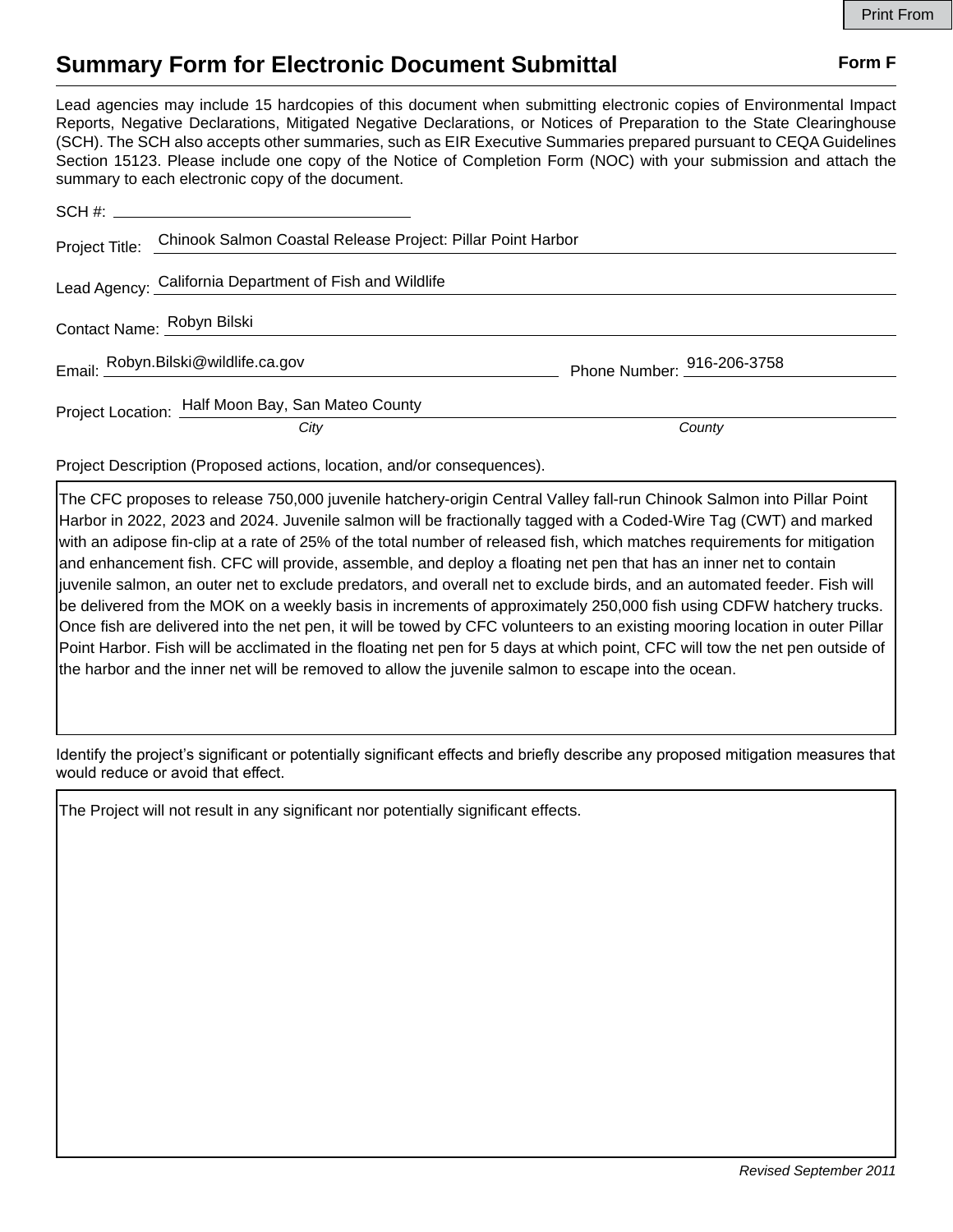## **Summary Form for Electronic Document Submittal Form F Form F**

Lead agencies may include 15 hardcopies of this document when submitting electronic copies of Environmental Impact Reports, Negative Declarations, Mitigated Negative Declarations, or Notices of Preparation to the State Clearinghouse (SCH). The SCH also accepts other summaries, such as EIR Executive Summaries prepared pursuant to CEQA Guidelines Section 15123. Please include one copy of the Notice of Completion Form (NOC) with your submission and attach the summary to each electronic copy of the document.

|                            | Project Title: Chinook Salmon Coastal Release Project: Pillar Point Harbor |                            |
|----------------------------|----------------------------------------------------------------------------|----------------------------|
|                            | Lead Agency: California Department of Fish and Wildlife                    |                            |
| Contact Name: Robyn Bilski |                                                                            |                            |
|                            | Email: Robyn.Bilski@wildlife.ca.gov                                        | Phone Number: 916-206-3758 |
|                            | Project Location: Half Moon Bay, San Mateo County                          |                            |
|                            | City                                                                       | County                     |

Project Description (Proposed actions, location, and/or consequences).

The CFC proposes to release 750,000 juvenile hatchery-origin Central Valley fall-run Chinook Salmon into Pillar Point Harbor in 2022, 2023 and 2024. Juvenile salmon will be fractionally tagged with a Coded-Wire Tag (CWT) and marked with an adipose fin-clip at a rate of 25% of the total number of released fish, which matches requirements for mitigation and enhancement fish. CFC will provide, assemble, and deploy a floating net pen that has an inner net to contain juvenile salmon, an outer net to exclude predators, and overall net to exclude birds, and an automated feeder. Fish will be delivered from the MOK on a weekly basis in increments of approximately 250,000 fish using CDFW hatchery trucks. Once fish are delivered into the net pen, it will be towed by CFC volunteers to an existing mooring location in outer Pillar Point Harbor. Fish will be acclimated in the floating net pen for 5 days at which point, CFC will tow the net pen outside of the harbor and the inner net will be removed to allow the juvenile salmon to escape into the ocean.

Identify the project's significant or potentially significant effects and briefly describe any proposed mitigation measures that would reduce or avoid that effect.

The Project will not result in any significant nor potentially significant effects.